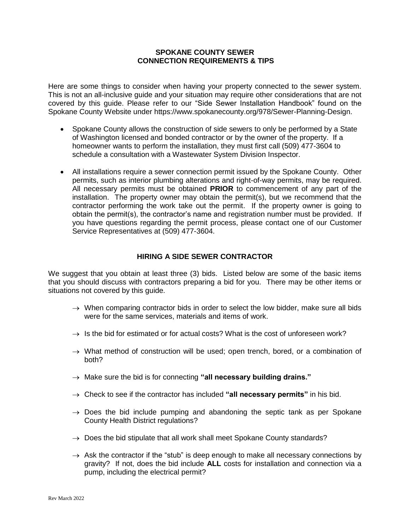## **SPOKANE COUNTY SEWER CONNECTION REQUIREMENTS & TIPS**

Here are some things to consider when having your property connected to the sewer system. This is not an all-inclusive guide and your situation may require other considerations that are not covered by this guide. Please refer to our "Side Sewer Installation Handbook" found on the Spokane County Website under https://www.spokanecounty.org/978/Sewer-Planning-Design.

- Spokane County allows the construction of side sewers to only be performed by a State of Washington licensed and bonded contractor or by the owner of the property. If a homeowner wants to perform the installation, they must first call (509) 477-3604 to schedule a consultation with a Wastewater System Division Inspector.
- All installations require a sewer connection permit issued by the Spokane County. Other permits, such as interior plumbing alterations and right-of-way permits, may be required. All necessary permits must be obtained **PRIOR** to commencement of any part of the installation. The property owner may obtain the permit(s), but we recommend that the contractor performing the work take out the permit. If the property owner is going to obtain the permit(s), the contractor's name and registration number must be provided. If you have questions regarding the permit process, please contact one of our Customer Service Representatives at (509) 477-3604.

## **HIRING A SIDE SEWER CONTRACTOR**

We suggest that you obtain at least three (3) bids. Listed below are some of the basic items that you should discuss with contractors preparing a bid for you. There may be other items or situations not covered by this guide.

- $\rightarrow$  When comparing contractor bids in order to select the low bidder, make sure all bids were for the same services, materials and items of work.
- $\rightarrow$  Is the bid for estimated or for actual costs? What is the cost of unforeseen work?
- $\rightarrow$  What method of construction will be used; open trench, bored, or a combination of both?
- → Make sure the bid is for connecting "all necessary building drains."
- $\rightarrow$  Check to see if the contractor has included "all necessary permits" in his bid.
- $\rightarrow$  Does the bid include pumping and abandoning the septic tank as per Spokane County Health District regulations?
- $\rightarrow$  Does the bid stipulate that all work shall meet Spokane County standards?
- $\rightarrow$  Ask the contractor if the "stub" is deep enough to make all necessary connections by gravity? If not, does the bid include **ALL** costs for installation and connection via a pump, including the electrical permit?